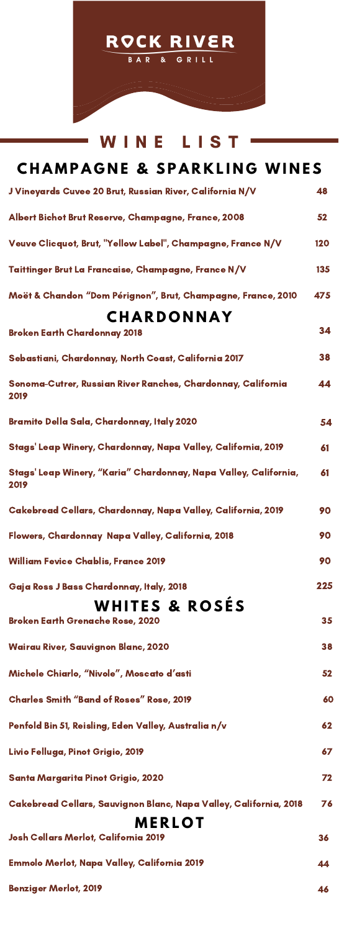

## WINE LISTł

| <b>CHAMPAGNE &amp; SPARKLING WINES</b>                                   |     |
|--------------------------------------------------------------------------|-----|
| J Vineyards Cuvee 20 Brut, Russian River, California N/V                 | 48  |
| Albert Bichot Brut Reserve, Champagne, France, 2008                      | 52  |
| Veuve Clicquot, Brut, "Yellow Label", Champagne, France N/V              | 120 |
| Taittinger Brut La Francaise, Champagne, France N/V                      | 135 |
| Moët & Chandon "Dom Pérignon", Brut, Champagne, France, 2010             | 475 |
| <b>CHARDONNAY</b>                                                        |     |
| <b>Broken Earth Chardonnay 2018</b>                                      | 34  |
| Sebastiani, Chardonnay, North Coast, California 2017                     | 38  |
| Sonoma-Cutrer, Russian River Ranches, Chardonnay, California<br>2019     | 44  |
| Bramito Della Sala, Chardonnay, Italy 2020                               | 54  |
| Stags' Leap Winery, Chardonnay, Napa Valley, California, 2019            | 61  |
| Stags' Leap Winery, "Karia" Chardonnay, Napa Valley, California,<br>2019 | 61  |
| Cakebread Cellars, Chardonnay, Napa Valley, California, 2019             | 90  |
| Flowers, Chardonnay Napa Valley, California, 2018                        | 90  |
| <b>William Fevice Chablis, France 2019</b>                               | 90  |
| Gaja Ross J Bass Chardonnay, Italy, 2018                                 | 225 |
| <b>WHITES &amp; ROSÉS</b><br><b>Broken Earth Grenache Rose, 2020</b>     | 35  |
| <b>Wairau River, Sauvignon Blanc, 2020</b>                               | 38  |
| Michele Chiarlo, "Nivole", Moscato d'asti                                | 52  |
| <b>Charles Smith "Band of Roses" Rose, 2019</b>                          | 60  |
| Penfold Bin 51, Reisling, Eden Valley, Australia n/v                     | 62  |
| Livio Felluga, Pinot Grigio, 2019                                        | 67  |
| Santa Margarita Pinot Grigio, 2020                                       | 72  |
| Cakebread Cellars, Sauvignon Blanc, Napa Valley, California, 2018        | 76  |
| <b>MERLOT</b>                                                            |     |
| Josh Cellars Merlot, California 2019                                     | 36  |
| Emmolo Merlot, Napa Valley, California 2019                              | 44  |
| <b>Benziger Merlot, 2019</b>                                             | 46  |